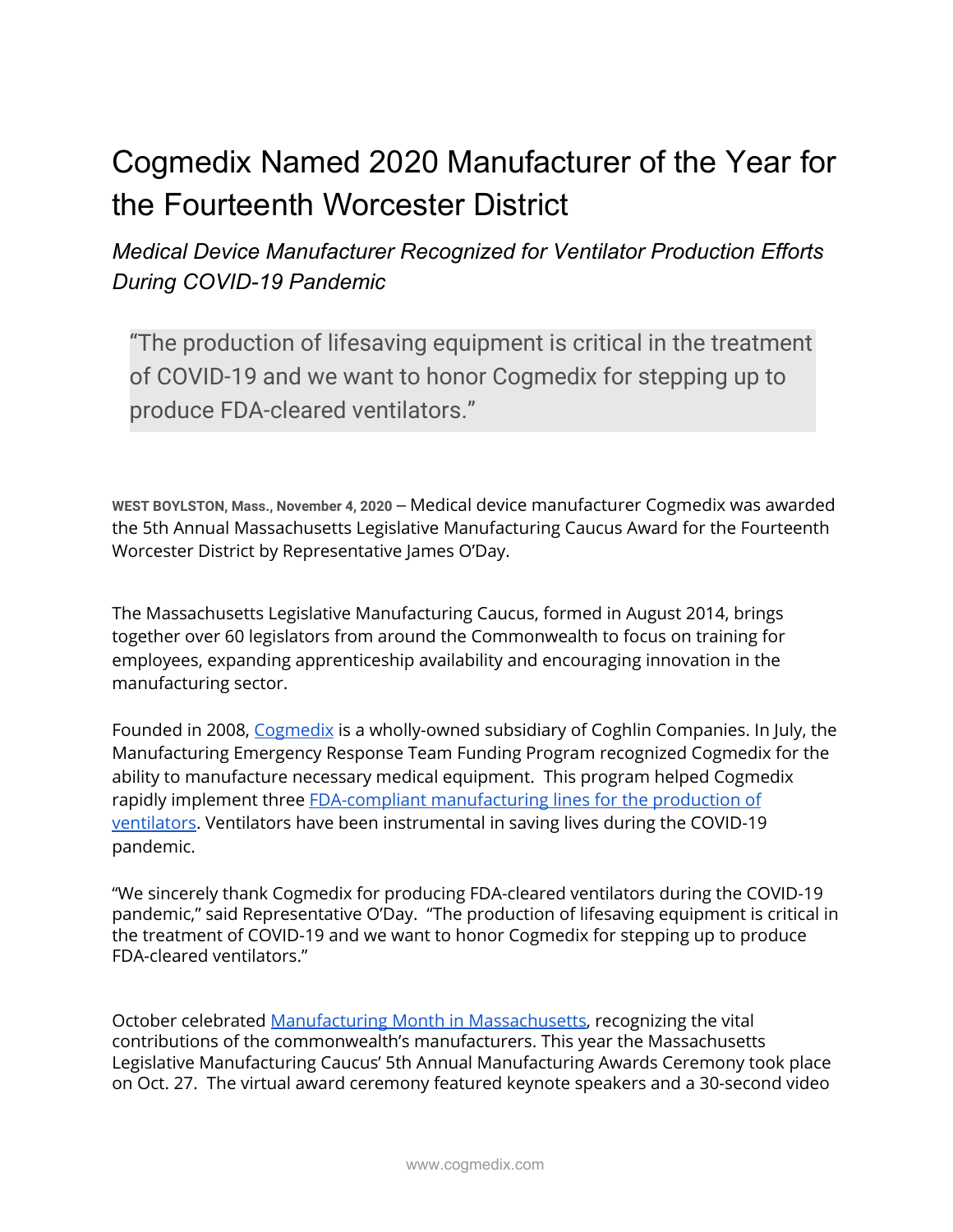## Cogmedix Named 2020 Manufacturer of the Year for the Fourteenth Worcester District

*Medical Device Manufacturer Recognized for Ventilator Production Efforts During COVID-19 Pandemic*

"The production of lifesaving equipment is critical in the treatment of COVID-19 and we want to honor Cogmedix for stepping up to produce FDA-cleared ventilators."

**WEST BOYLSTON, Mass., November 4, 2020 —** Medical device manufacturer Cogmedix was awarded the 5th Annual Massachusetts Legislative Manufacturing Caucus Award for the Fourteenth Worcester District by Representative James O'Day.

The Massachusetts Legislative Manufacturing Caucus, formed in August 2014, brings together over 60 legislators from around the Commonwealth to focus on training for employees, expanding apprenticeship availability and encouraging innovation in the manufacturing sector.

Founded in 2008, [Cogmedix](https://www.coghlincompanies.com/cogmedix/) is a wholly-owned subsidiary of Coghlin Companies. In July, the Manufacturing Emergency Response Team Funding Program recognized Cogmedix for the ability to manufacture necessary medical equipment. This program helped Cogmedix rapidly implement three FDA-compliant [manufacturing](https://www.coghlincompanies.com/zoll-medical-ventilator-manufacturing/) lines for the production of [ventilators](https://www.coghlincompanies.com/zoll-medical-ventilator-manufacturing/). Ventilators have been instrumental in saving lives during the COVID-19 pandemic.

"We sincerely thank Cogmedix for producing FDA-cleared ventilators during the COVID-19 pandemic," said Representative O'Day. "The production of lifesaving equipment is critical in the treatment of COVID-19 and we want to honor Cogmedix for stepping up to produce FDA-cleared ventilators."

October celebrated Manufacturing Month in [Massachusetts,](https://mamanufacturing.com/mamanufacturingmonth) recognizing the vital contributions of the commonwealth's manufacturers. This year the Massachusetts Legislative Manufacturing Caucus' 5th Annual Manufacturing Awards Ceremony took place on Oct. 27. The virtual award ceremony featured keynote speakers and a 30-second video